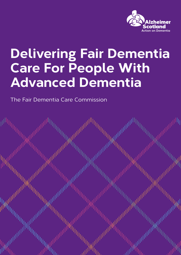

# **Delivering Fair Dementia Care For People With Advanced Dementia**

The Fair Dementia Care Commission

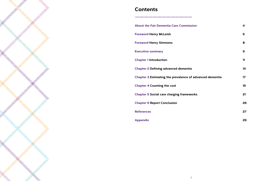

### **Contents**

| <b>About the Fair Dementia Care Commission</b>                  | 4  |
|-----------------------------------------------------------------|----|
| <b>Foreword Henry McLeish</b>                                   | 6  |
| <b>Foreword Henry Simmons</b>                                   | 8  |
| <b>Executive summary</b>                                        | 9  |
| <b>Chapter 1 Introduction</b>                                   | 11 |
| <b>Chapter 2 Defining advanced dementia</b>                     | 14 |
| <b>Chapter 3 Estimating the prevalence of advanced dementia</b> | 17 |
| <b>Chapter 4 Counting the cost</b>                              | 19 |
| <b>Chapter 5 Social care charging frameworks</b>                | 21 |
| <b>Chapter 6 Report Conclusion</b>                              | 26 |
| <b>References</b>                                               | 27 |
| <b>Appendix</b>                                                 | 29 |

**Appendix**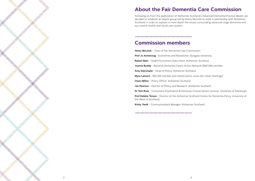## **About the Fair Dementia Care Commission**

Following on from the publication of Alzheimer Scotland's Advanced Dementia Practice Model, we decided to establish an expert group led by Henry McLeish to work in partnership with Alzheimer Scotland, in order to explore in more depth the issues surrounding advanced stage dementia and our current health and social care system.

### **Commission members**

**Henry McLeish** – Chair of Fair Dementia Care Commission **Prof Jo Armstrong** - Economist and Researcher, Glasgow University **Robert Bain** – Health Economics Data Intern, Alzheimer Scotland **Joanna Boddy** – National Dementia Carers Action Network (NDCAN) member **Amy Dalrymple** – Head of Policy, Alzheimer Scotland **Myra Lamont** – NDCAN member and retired senior nurse (for initial meetings) **Owen Miller** – Policy Officer, Alzheimer Scotland **Jim Pearson** – Director of Policy and Research, Alzheimer Scotland **Dr Tom Russ** – Consultant Psychiatrist & Honorary Clinical Senior Lecturer, University of Edinburgh **Prof Debbie Tolson** – Director of the Alzheimer Scotland Centre for Dementia Policy, University of the West of Scotland **Kirsty Yanik** – Communications Manager, Alzheimer Scotland

- 
- 
- 
- 
- 
- 
- 
- 
-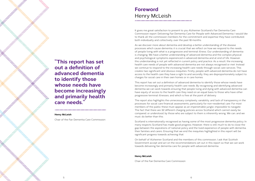**"This report has set out a definition of advanced dementia to identify those whose needs have become increasingly and primarily health care needs."**

#### **Henry McLeish**

Chair of the Fair Dementia Care Commission

## **Foreword** Henry McLeish

It gives me great satisfaction to present to you Alzheimer Scotland's Fair Dementia Care Commission report: Delivering Fair Dementia Care for People with Advanced Dementia. I would like to thank all the commission members for the commitment and expertise they have contributed, both individually and collectively, over the past 18 months.

As we discover more about dementia and develop a better understanding of the disease processes which cause dementia, it is crucial that we reflect on how we respond to the needs of people living with what is a progressive and terminal illness. Our understanding of dementia is changing. We have a better understanding of advanced dementia and the complex physical and psychological symptoms experienced in advanced dementia and at end of life. However, this understanding is not yet reflected in current policy and practice. As a result, the increasing health care needs of people with advanced dementia are not always recognised or met. Instead we continue to respond to the increasing health care needs through social care services. This creates two significant and obvious inequities. Firstly, people with advanced dementia do not have access to the health care they have a right to and secondly, they are disproportionately subject to charges for social care in their own homes or in care homes.

This report has set out a definition of advanced dementia to identify those whose needs have become increasingly and primarily health care needs. By recognising and identifying advanced dementia we can work towards ensuring that people living and dying with advanced dementia can have equity of access to the health care they need on an equal basis to those who have other progressive terminal illnesses, and which is free at the point of delivery.

The report also highlights the unnecessary complexity, variability, and lack of transparency in the processes for social care financial assessments, particularly for non-residential care. For most members of the public these must appear as an impenetrable jungle, impossible to navigate. The fact that there are 32 different charging policies across Scotland which cannot easily be compared, or understood, by those who are subject to them is inherently wrong. We can, and we must, do better than this.

Scotland is internationally recognised as having some of the most progressive dementia policy. In many respects Scotland has made good progress. However, there is still much to do to close the gap between the aspirations of national policy and the lived experience of people with dementia, their families and carers. Ensuring that we end the inequities highlighted in this report will be significant progress towards achieving that.

On behalf of Alzheimer Scotland and the members of this commission, I ask that Scottish Government accept and act on the recommendations set out in this report so that we can work towards delivering fair dementia care for people with advanced dementia.

#### **Henry McLeish**

Chair of the Fair Dementia Care Commission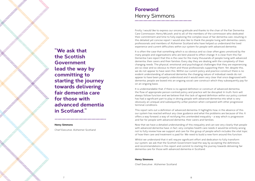**"We ask that the Scottish Government lead the way by committing to starting the journey towards delivering fair dementia care for those with advanced dementia in Scotland."**

#### **Henry Simmons**

Chief Executive, Alzheimer Scotland

Firstly, I would like to express our sincere gratitude and thanks to the chair of the Fair Dementia Care Commission, Henry McLeish, and to all of the members of the commission who dedicated their commitment and time to fully exploring the complex issue of fair dementia care, resulting in this detailed yet concise report. I would also like to thank the people living with dementia, carers, professionals and members of Alzheimer Scotland who have helped us understand the lived experience and current difficulties within our system for people with advanced dementia.

It is often the case that something which is so obvious and so clear often goes unnoticed by the many people and organisations who are best placed to effect change. It is clear from this Fair Dementia Care report that this is the case for the many thousands of people living with advanced dementia, their carers and their families. Every day they are dealing with the complexity of their changing needs. The physical, emotional and psychological challenges that they are experiencing are so clear and so obvious to them and those professionals supporting them. Yet, despite this, we do not appear to have seen this. Within our current policy and practice construct there is no evident understanding of advanced dementia, the changing nature of individual needs do not appear to have been properly understood and it would seem very clear that once diagnosed with dementia, people are boxed into an ongoing social care construct which they subsequently pay for on an ongoing basis.

It is understandable that, if there is no agreed definition or construct of advanced dementia, the flow of appropriate person-centred policy and practice will be disrupted. In truth, form will always follow function and we believe that this lack of agreed definition within our policy context has had a significant part to play in driving people with advanced dementia into what is very obviously an unequal and subsequently unfair position when compared with other progressive terminal conditions.

This report sets out a definition of advanced dementia. It highlights how, in the absence of this. our system has reacted without any clear guidance and what the problems are because of this. It offers a way forward; a way of rectifying this unintended inequality - a way which is progressive and fair for people with advanced dementia, their carers and families.

Now that we have a detailed understanding of this inequality and can see very clearly that people with advanced dementia have, in fact, very complex health care needs it would be entirely wrong not to fully review how we support and care for this group of people which includes the vital topic of how their care and treatment is paid for. We need to build a new form around this function.

Whilst we understand that it will require significant effort and dedication to fully transform our system, we ask that the Scottish Government lead the way by accepting the definitions and recommendations in this report and commit to starting the journey towards delivering fair dementia care for those with advanced dementia in Scotland.

#### **Henry Simmons**

Chief Executive , Alzheimer Scotland

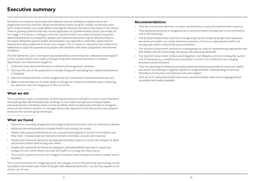Dementia is a condition associated with diseases such as Alzheimer's disease which are progressive terminal illnesses. Advanced dementia means living for months, sometimes years, with complex health care needs before reaching the terminal and end of life phase of the illness. There is growing evidence that the current application of a predominately social care model, at this stage in the illness, is failing to meet the specific health care needs of people living with advanced dementia. Consequently, people with advanced dementia may be denied access to the expert dementia-specific health and palliative care required to meet their needs and are disproportionately subjected to social care charges. This is clearly an inequality that needs to be addressed to align the experience of people with dementia with other progressive and terminal conditions.

The Fair Dementia Care Commission was established to review how we understand and respond to the complex health care needs of people living with advanced dementia in Scotland. Specifically, the Commission sought to:

- 1. Determine how advanced dementia is defined and recognised in practice
- 2. Estimate the size of the population of people living with, and dying from, advanced dementia in Scotland
- 3. Examine and describe the current charges and cost framework of advanced dementia care
- 4. Make recommendations on what needs to change for Scotland to lead the way in achieving fair dementia care from diagnosis to the end of life.

#### **What we did**

The commission used a combination of desk-based research methods to review current literature and existing data. We facilitated two meetings to elicit ideas and opinions of expert health care practitioners and family carers on how to define advanced dementia and how to recognise advanced dementia in practice. A managed democratic approach to the discussions was adopted based on the nominal group technique.

#### **What we found**

- Dementia is caused by progressive neurological disease processes, such as Alzheimer's disease
- Advanced dementia produces complex health and nursing care needs
- People with advanced dementia do not currently have equality of access to the health care they need – instead advanced dementia remains essentially a social care response
- People with advanced dementia are disproportionately subject to social care charges for what are primarily health and nursing care needs
- People with advanced dementia are paying an estimated £50.9m per year in social care charges for care which doesn't provide the health or nursing care they require
- The current system of social care charges is complex, lacks transparency and is variable across Scotland

The current provisions for mitigating social care charges such as free personal and nursing care do not address the health care needs of people with advanced dementia – nor do they equate to the actual cost of care.

#### **Recommendations**

- That the Commission definition of advanced dementia is used and implemented in practice
- That advanced dementia is recognised as a continuum which includes, but is not confined to, end of life and dying
- The Scottish Government commits to recognising that the needs of people with advanced dementia are health care needs and ensure equality of access to appropriate health and nursing care, which is free at the point of delivery
- The Scottish Government commits to investigating the costs of implementing appropriate and free health care for those living, and dying, with advanced dementia
- The Scottish Government, COSLA and Integration Joint Boards commit to ending the current lack of transparency, complexity and variability in current non-residential care charging provisions across Scotland
- That the recording of dementia (including advanced dementia) prevalence across all health and social care settings is urgently required to support better understanding of demand, allocation of resources and improved care and support
- That all local authorities/health and social care partnerships make local charging policies accessible and readily available.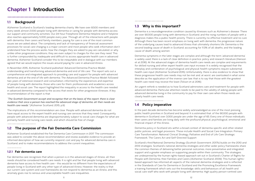#### **1.1 Background**

Alzheimer Scotland is Scotland's leading dementia charity. We have over 8,500 members and every week almost 2,000 people living with dementia or caring for people with dementia access our support and community activities. Our 24-hour Freephone Dementia Helpline and e-helpline also reaches approximately 5,000 people every year. Through all of the interactions with people with dementia, their carers and family members, paying for care is one of the most common issues we are asked about. The complexity and lack of transparency of financial assessment processes for social care charging is a major concern and most people who seek information don't understand how the process works, how the charges they are asked to pay are calculated, or why, unlike other progressive conditions, they are even subject to charges for the care they need. This is further compounded by inadequate and difficult to access appropriate health care in advanced dementia. Alzheimer Scotland consider this to be inequitable and in dialogue with our members agreed that we would explore the issues around paying for care in advanced illness.

In November 2015, Alzheimer Scotland published 'Advanced Dementia Practice Model: understanding and transforming advanced dementia and end of life care'. The report sets out a comprehensive and integrated approach to providing care and support for people with advanced dementia and at the end of life with dementia. The Advanced Dementia Practice Model followed two years of extensive research and consultation, informed by the experiences and expertise of people living with dementia, those who care for them, professionals and academics across health and social care. The report highlighted the inequality in access to the health care needed in advanced dementia compared to the access that exists for other progressive illnesses. A key recommendation of the report is that:

*"The Scottish Government accept and recognise that on the basis of this report, there is clear evidence that once a person has reached the advanced stage of dementia, all their needs are health care needs."* (Alzheimer Scotland, 2015, p.9)

The implications of this recommendation are clear. People with advanced dementia do not have equal access to the expert health and nursing care services that they need. Consequently, people with advanced dementia are disproportionately subject to social care charges for what are primarily health and nursing care needs, and which should be free of charge.

#### **1.2 The purpose of the Fair Dementia Care Commission**

Alzheimer Scotland established the Fair Dementia Care Commission in 2017. The commission was asked to consider the above recommendation and review available evidence to provide an informed description of how we currently respond, cost and pay for advanced dementia care in Scotland, and to make recommendations to address the current inequalities.

#### **1.2.1 Fair dementia care**

Fair dementia care recognises that when a person is in the advanced stages of illness, all their needs should be considered health care needs. It is right and fair that people living with advanced dementia have access to free health care - this would be no different from the expectations of people living in Scotland with any other type of advanced illness. However, the reality is that our current care system and cost frameworks do not respond to dementia as an illness, and this anomaly gives rise to serious and unacceptable health care inequalities.

### **Chapter 1 Introduction**

#### **1.3 Why is this important?**

Dementia is a neurodegenerative condition caused by illnesses such as Alzheimer's disease. There are over 90,000 people living with dementia in Scotland, and the rising numbers of people with a diagnosis makes this a public health priority. There is currently no effective treatment and no cure. Although there has been recent emphasis on living well with dementia, the progressive nature of the underlying causes lead to advanced illness that ultimately shortens life. Dementia is the second leading cause of death in Scotland; accounting for 11.3% of all deaths, and the leading cause of death among women.

Dementia symptoms in the later stages are complex and although the term 'advanced dementia' is widely used, there is a lack of clear definition in practice, policy and research literature (Hanson et al 2016). At the advanced stages of dementia health care needs are complex and requirements for skilled nursing and other expert health care input increase. It is widely recognised that the interplay and combination of psychological and physical health symptoms require substantial health care input (Alzheimer Scotland 2015). Unfortunately, there is also evidence to show that these progressive health care needs may not be met and, at worst, are overlooked in what some describe as the application of the inverse care law; that is to say that those with the greatest health care need may receive the least (Tolson et al 2016).

An urgent rethink is needed as to how Scotland administers care and treatment for people with advanced dementia. Particular attention needs to be paid to the validity of asking people with advanced dementia living in the community to pay for their own care when those needs are clearly health care needs.

#### **1.4 Policy imperative**

In the past decade dementia has become widely acknowledged as one of the most pressing public health priorities in Scotland and beyond. It is estimated that, of the 90,000 people with dementia in Scotland, over 3,000 people are under the age of 65. Every one of those individuals, their carers and families are living daily with the profound physical, psychological, emotional and financial impact of this illness.

Dementia policy in Scotland sits within a broad context of dementia specific and other related public policies, and legal provisions. These include Health and Social Care Integration, Primary Care Transformation, National Clinical Strategy, Palliative and End of Life Care Strategic Framework, The Carers Act and Self-Directed Support.

Scotland's third National Dementia Strategy (Scottish Government, 2017b) builds on the 2010 and 2013 strategies. Scotland's national dementia strategies and other wider policy frameworks share the common themes of delivering better personal outcomes, more preventative and integrated support and a greater emphasis on supporting people within their community. The strategies are underpinned by the human rights-based approach set out in Scotland's Charter of Rights for People with Dementia, their Families and Carers (Alzheimer Scotland, 2009). This human rightsbased approach has informed all aspects of the national dementia strategies and is reflected in the Standards of Care for Dementia in Scotland and the Promoting Excellence Framework, a training framework which sets out the knowledge, skills and behaviours of all health and social care staff who work with people living with dementia. High quality person-centred care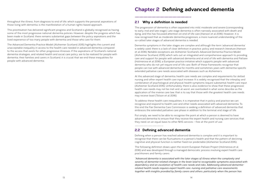throughout the illness, from diagnosis to end of life, which supports the personal aspirations of those living with dementia, is the manifestation of a human rights-based approach.

This prioritisation has delivered significant progress and Scotland is globally recognised as having some of the most progressive national dementia policies. However, despite the progress which has been made in Scotland, there remains substantial gaps between the policy aspirations and the lived experience of too many people with dementia and those who care for them.

The Advanced Dementia Practice Model (Alzheimer Scotland, 2015) highlights the current and unacceptable inequality in access to the health care needed in advanced dementia compared to the access that exists for other progressive illnesses. If the aspirations of Scotland's national dementia strategies, and related health and social care policy, are to be realised for people with dementia, their families and carers in Scotland, it is crucial that we end these inequalities for people with advanced dementia.

### **Chapter 2 Defining advanced dementia**

#### **2.1 Why a definition is needed**

The progression of dementia is often separated into mild, moderate and severe (corresponding to early, mid and late stage). Late stage dementia is often narrowly associated with death and dying, and this has focussed attention on end of life care (Hanson et al 2016). However, it is now recognised that as moderate dementia progresses, a more nuanced understanding of the so-called later stages of advanced dementia is needed.

Dementia symptoms in the later stages are complex and although the term 'advanced dementia' is widely used, there is a lack of clear definition in practice, policy and research literature (Hanson et al 2016). Notable exceptions are Alzheimer Scotland's Advanced Dementia Practice Model (Alzheimer Scotland, 2015) which sets out an integrated and comprehensive approach to providing care and support for people with advanced dementia and at end of life with dementia and Palliare (Holmerova et al 2016), a European practice initiative which supports people with advanced dementia who do not yet require end of life care. Both of these frameworks recognise that people can live with advanced dementia for months and sometimes years with dementia-specific extended palliative care needs associated with diseases such as Alzheimer's.

At this advanced stage of dementia, health care needs are complex and requirements for skilled nursing and other expert health care input increase. It is widely recognised that the interplay and combination of psychological and physical health symptoms require substantial health care input (Alzheimer Scotland 2015). Unfortunately, there is also evidence to show that these progressive health care needs may not be met and, at worst, are overlooked in what some describe as the application of the inverse care law; that is to say that those with the greatest health care needs may receive least (Tolson et al 2016).

To address these health care inequalities, it is imperative that in policy and practice we can recognise and respond to health care and other needs associated with advanced dementia. To this end the Fair Dementia Care Commission is seeking a definition of advanced dementia that embraces the extended palliative care phase in addition to the terminal end stage of life.

Put simply, we need to be able to recognise the point at which a person is deemed to have advanced dementia to ensure that they receive the expert health and nursing care services that they need, on an equal basis to other NHS services – free at the point of use.

#### **2.2 Defining advanced dementia**

Defining when a person has reached advanced dementia is complex and it is important to recognise that there can be fluctuations in a person's health and that the pattern of declining cognitive and physical function is neither fixed nor predictable (Alzheimer Scotland 2015).

The following definition draws upon the recent European Palliare Project (Holmerova et al 2016) and was developed through a managed democratic process involving expert health care practitioners and family carers:

*"Advanced dementia is associated with the later stages of illness when the complexity and severity of dementia-related changes in the brain lead to recognisable symptoms associated with dependency and an escalation of health care needs and risks. Addressing advanced dementiarelated health needs requires expert health care, nursing and palliative care assessments together with insights provided by family carers and others, particularly when the person has*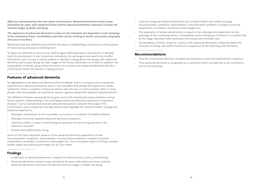*difficulty communicating their own needs and emotions. Advanced dementia involves living, sometimes for years, with advanced illness and the advanced dementia continuum includes the terminal stages of death and dying.*

We believe that this definition should form the basis of establishing a consensus on the purpose of future policy and practice development.

*The experience of advanced dementia is unique to the individual and dependent on the aetiology of the underlying illness, comorbidities and other factors relating to health, personality, biography and socio-economics."* 

To apply this definition in practice we need to agree defining features and identify or develop tools for practitioners to use to promote consistency. As we progress we need to be mindful that family carers occupy a central position in decision-making about the person with advanced dementia, particularly during the later stages of the illness (Shulmann et al 2017). In addition, the sustainability of family caring, where this exists, for a person with advanced dementia will be a critical factor within this decision-making process.

#### **Features of advanced dementia**

As highlighted in the Advanced Dementia Practice Model, there is no typical set of symptoms experienced in advanced dementia and it is not inevitable that people will experience certain symptoms. There is a pattern of physical decline with the loss of communication skills in many people, and some people can experience severe cognitive impairment ahead of physical decline.

The different illnesses causing dementia give rise to both shared and unique problems and an illness-specific understanding of the anticipated advanced dementia experience is important. However, such a nuanced and clinically detailed description is beyond the scope of the Commission's work. Instead we note key features that highlight the need for health, nursing and palliative expertise to:

- Anticipate and prevent, as far as possible, occurrence or escalation of health problems
- Alleviate commonly reported advanced dementia symptoms
- Optimise comfort, a sense of well-being and promote the best living and end of life experience possible
- Sustain and enable family caring.

Some of the most important aspects of the advanced dementia experience include: neuropsychiatric symptoms, disorientation, communication problems, multiple functional impairments, immobility, incontinence and weight loss. The cumulative impacts of these complex health needs are profound and impact on all care needs.

#### **Findings**

- A definition of advanced dementia is required to inform practice, policy and planning
- Advanced dementia involves living, sometimes for years, with advanced illness and the advanced dementia continuum includes the terminal stages of death and dying
- A person living with advanced dementia has complex health care needs including neuropsychiatric symptoms, disorientation, communication problems, multiple functional impairments, immobility, incontinence and weight loss
- The experience of advanced dementia is unique to the individual and dependent on the aetiology of the underlying illness, comorbidities and a multiplicity of factors. It is evident that, at this stage, individual need transitions from social care to health care
- Sustainability of family caring for a person with advanced dementia is important given the centrality of family care within the person's experience of life and living with dementia.

#### **Recommendations**

- That the Commission definition of advanced dementia is used and implemented in practice
- That advanced dementia is recognised as a continuum which includes but is not confined to end of life and dying.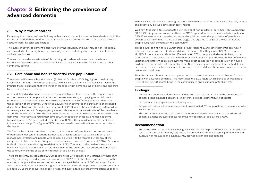### **Chapter 3 Estimating the prevalence of advanced dementia**

#### **3.1 Why is this important**

Estimating the numbers of people living with advanced dementia is crucial to understand both the resources needed to respond to their health and nursing care needs and to estimate the current costs, to them, in social care charges.

The place of advanced dementia care varies for the individual and may include non-residential care provided in the family home or community services including day care, or residential care such as care homes.

This section provides an estimate of those living with advanced dementia in care home settings and those receiving non-residential care social care within the family home or other community setting.

#### **3.2 Care home and non-residential care population**

The Advanced Dementia Practice Model (Alzheimer Scotland, 2015) highlighted the difficulty in reliably estimating the number of people with advanced dementia. The Advanced Dementia Practice Model estimated that two thirds of all people with dementia live at home, and one third live in residential care settings.

A more detailed and accurate estimation is required to calculate costs and this requires data on the prevalence of people with advanced dementia receiving and paying for social care in residential or non-residential settings. However, there is an insufficiency of robust data with the exception of the study by Lithgow et al (2011), which estimated the prevalence of advanced dementia within Scottish care homes. Lithgow et al (2011) randomly selected every sixth resident from every care home in Glasgow, giving a reasonably representative estimate of the prevalence across the whole of Glasgow. The Glasgow study concluded that 31% of all residents had severe dementia. The study also found that almost 90% of people in these care homes had some form of dementia. We can conclude from this that 35% of those residents with dementia are in the advanced stage. This figure of 35% has been used in cost estimations presented later in this report.

We found a lack of accurate data in recording the numbers of people with dementia in receipt of non-residential care in Scotland. Dementia is under-recorded in social care information management systems and people with dementia are likely to be recorded under any of the categories of older people receiving non-residential care (Scottish Government, 2017a). Dementia is also known to be under-diagnosed (Rait et al., 2010). The lack of reliable data means it is equally difficult to determine an accurate estimate of the prevalence for advanced dementia in the community and the costs of non-residential social care charges.

There are currently an estimated 90,000 people living with dementia in Scotland, of whom 98% are 65 years of age or older (Scottish Government 2017a). In all the studies, we see a rise in the number of people with advanced dementia as they age (Herbert et al., 2003; Andersen, K. et al., 1997; Lucca et al., 2015). Estimates suggest that between 25-30% people with advanced dementia are aged 80 years or above. The impact of age, and older age, is particularly important as people

with advanced dementia are among the most likely to meet non-residential care eligibility criteria and potentially be subject to social care charges.

We know that some 160,000 people are in receipt of non-residential care (Scottish Government 2017a). Of this group we know that there are 11,180 reported to have dementia which equates to 6.9%. If we assume that, based on access and eligibility criteria, this population of people with dementia are likely to be in the advanced stages this equates to 18.6% of the overall 60,000 people living with dementia in the community.

This is similar to findings in a Danish study of non-residential and other dementia care which estimated the prevalence of advanced dementia across all settings to be 14% (Andersen et al 1997). A more recent study in the USA estimated 21% of people with dementia, living in the community, to have severe dementia (Herbert et al 2003). It is important to note that definitional variation and different social care systems make direct comparison or extrapolation of figures available for non-residential care problematic. Nevertheless, given the lack of accurate data it is necessary to make the best estimate of those with advanced dementia who are in receipt of nonresidential social care.

Therefore, to calculate an estimated proportion of non-residential care social charges for those people with advanced dementia, this report uses the 6.9% figure which provides an estimate of 18.6% of the 60,000 people living in the community to give estimated potential costs.

#### **Findings**

- Dementia is under-recorded in national data sets. Consequently, data on the prevalence of dementia (and advanced dementia) in different settings is potentially inadequate
- Dementia remains significantly underdiagnosed
- in care homes
- The best assumption based on current evidence available on the prevalence of advanced dementia among all older people receiving non-residential social care is 6.9%.

• People with advanced dementia represent an estimated 35% of people with dementia resident

#### **Recommendation**

• Better recording of dementia (including advanced dementia) prevalence across all health and social care settings is urgently required to determine a better understanding of demand and allocation of resources and subsequently provide better care and support.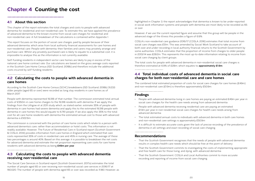#### **4.1 About this section**

This chapter of the report estimates the total charges and costs to people with advanced dementia for residential and non-residential care. To estimate this, we have applied the prevalence of advanced dementia to the known income from social care charges for residential and non-residential care. A full breakdown of the calculations is contained within Appendix 1.

This report focuses on the portion of social care charges, paid by people because of their advanced dementia, which arise from local authority financial assessments for care homes and non-residential care. People with dementia, their families and carers may privately arrange and purchase care. Whilst any privately purchased care is likely to equate to a substantial cost, it is impossible to analyse this as the information is not currently available.

Self-funding residents in independent sector care homes are likely to pay in excess of the national care home contract rate. Our calculations are based on the gross average costs reported in the Scottish Care Home Census (ISD Scotland, 2018b) and therefore include the additional costs incurred by self-funding residents.

#### **4.2 Calculating the costs to people with advanced dementia in care homes**

According to the Scottish Care Home Census (SCHC) breakdowns (ISD Scotland, 2018b) 31,233 older people (aged 65 or over) were recorded as long stay residents in care homes as of March 2017.

People with dementia represented 19,318 of that number. The commission estimated total annual costs of £350m in care home charges to the 19,318 residents with dementia. If we apply the findings from the Lithgow et al 2011 study which, as stated earlier, estimate 35% of people with dementia in care homes had severe dementia and apply this to the estimated 19,318 people with dementia in care homes this would equate to 6,761 people. If we also apply the 35% to the total cost for all care home residents with dementia the estimated annual cost to those with advanced dementia is £122.6m.

The commission is concerned with the portion of care home costs which relate to a person with advanced dementia's care, rather than accommodation or hotel costs. This information is not readily available, However, The Future of Residential Care in Scotland report (Scottish Government & COSLA, 2014) provides information from care homes in England which estimated that care costs represented 35% of costs in residential care and 45% in nursing care. The average of these two percentages is around 40%. Based on this average, it is possible to breakdown the net costs for advanced dementia and estimate the net proportion representing care costs for care home residents with advanced dementia as being **£49m per year**.

#### **4.3 Calculating the costs to people with advanced dementia receiving non-residential care**

The Social Care Services in Scotland report (Scottish Government, 2017a) estimates the total number of people aged 65 or over receiving non-residential social care services in 2016/17 at 160,020. The number of people with dementia aged 65 or over was recorded as 11,180. However, as

### **Chapter 4 Counting the cost**

highlighted in Chapter 3, the report acknowledges that dementia is known to be under-reported in social work information systems and people with dementia are most likely to be recorded as 65 or over.

However, if we use the current reported figure and assume that this group will be people in the advanced stage of the illness this provides a figure of 6.9%.

COSLA's non-residential care guidance 2016/17 (COSLA, 2016) estimates that total income from social care charges was £51m. This was amended by Social Work Scotland to take account of both over and under-recording in local authority financial returns to the Scottish Government by some authorities. COSLA estimates that the proportion of income from charges to older people in 2013/14 was £28.2m. This represents the most up-to-date information relating to income from social care charging by client groups.

The total costs for people with advanced dementia in non-residential social care charges is therefore estimated at 6.9% of £28m, which equates to **approximately £1.9m**.

#### **4.4 Total individual costs of advanced dementia in social care charges for both non-residential care and care homes**

The combined total estimated proportion of costs for social care charges for care homes (£49m) and non-residential care (£1.9m) is therefore approximately £50.9m.

#### **Findings**

- People with advanced dementia living in care homes are paying an estimated £49m per year in social care charges for the health care needs arising from advanced dementia
- People with advanced dementia receiving residential care are paying an estimated £1.9m per year in non-residential social care charges for health care needs arising from advanced dementia
- The total estimated annual costs to individuals with advanced dementia in both care homes and non-residential care settings is approximately £50.9m
- dementia in all settings and exact recording of social care charging.

#### **Recommendations**

- That the Scottish Government recognises that the needs of people with advanced dementia results in complex health care needs which should be free at the point of delivery
- That the Scottish Government commits to investigating the costs of implementing appropriate and free health care for those living, and dying, with advanced dementia
- That the Scottish Government, COSLA and Local Authorities commit to more accurate recording and reporting of income from social care charging.

It is difficult to estimate accurate costs given the lack of precise recording of the prevalence of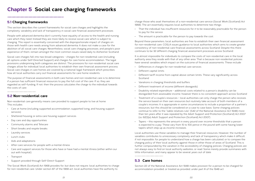#### **5.1 Charging frameworks**

This section describes the current frameworks for social care charges and highlights the complexity, variability and lack of transparency in social care financial assessment processes.

People with advanced dementia don't currently have equality of access to the health and nursing care which they need. Instead they are more likely to receive social care which is subject to charging. This report is essentially concerned with the disproportionate impact of charges on those with health care needs arising from advanced dementia. It does not make a case for the abolition of all social care charges. Nevertheless, social care charging processes, and people's poor experience of them, remain amongst the most common issues raised daily to Alzheimer Scotland.

Social care charges fall into two broad categories - charges for non-residential care (including all options under Self-Directed Support) and charges for care home accommodation. The legal provisions underpinning both categories are distinct. The provisions for non-residential social care charges allow for individual local authorities to establish their own financial assessment process. Social care charges in care homes are covered by a national legal framework which prescribes how all local authorities carry out financial assessments for care home residents.

- That the individual has insufficient resources for it to be reasonably practicable for the person to pay for the service
- The amount is practicable for the person to pay towards the cost.

The purpose of financial assessments in both care homes and non-residential care is to determine if a person has sufficient financial resources to pay the full cost of the care. If so, they are regarded as self-funding. If not, then the process calculates the charge to the individual towards the costs of care.

#### **5.2 Non-residential care**

Non-residential care generally means care provided to support people to live at home. This includes:

- Care at home (including supported accommodation, supported living, and housing support services)
- Sheltered housing or extra care housing support services
- Day care and day opportunities
- Community alarms and Telecare
- Short breaks and respite breaks
- Laundry services
- Lunch clubs
- Aids and adaptations
- After-care services for people with a mental illness
- Care and support services for those who have or have had a mental illness (either within our out with hospital)
- **Transport**
- Support provided through Self-Direct-Support

The Social Work (Scotland) Act 1968 provides for, but does not require, local authorities to charge for non–residential care. Under section 87 of the 1968 act, local authorities have the authority to

charge those who avail themselves of a non-residential care service (Social Work (Scotland) Act 1968). The act essentially requires local authorities to determine two things:

Beyond these parameters, local authorities are free to establish their own financial assessment for non-residential care. COSLA issues guidance to local authorities which aims to create greater consistency of non-residential care financial assessments across Scotland. Despite this there continues to be 32 different charging financial assessment processes across Scotland.

It is almost impossible for individuals to compare the costs of non-residential care in the local authority area they reside with that of any other area. That is because non-residential policies have several variables which impact on the outcome of financial assessments. These include: • Differences in charges for non-residential care services

- 
- Different capital limits
- Different tariff income from capital above certain limits. These vary significantly across Scotland
- Variations in charging thresholds and buffers
- Different treatment of income (different disregards)
- Disability related expenditure additional costs related to a person's disability can be disregarded from assessable income, however there is no consistent approach across Scotland
- Treatment of a couple's resources local authorities can only charge the person who receives the service based on their own resources but routinely take account of both members of a couple's incomes. It is appropriate in some circumstances to include a proportion of a partner's resources, but this should be considered on a case to case basis. Some charging policies continue to refer to the "liable relatives rule" (S42 of the National Assistance Act 1948) more than ten years after it was repealed by the Adult Support and Protection (Scotland) Act 2007 (ss. 62(1)(a) Adult Support and Protection (Scotland) Act 2007)
- Tapers this represents the amount in every pound over income thresholds that a person is expected to a pay. These vary from 15 to 100 pence in the pound with some having lower tapers which step up as income increases.

Local authorities use these variables to manage their financial resources. However, the number of variables contributes to unnecessary complexity and lack of transparency which make it difficult, if not impossible, for people to understand how a charge has been calculated, or to compare the charging policy of their local authority against those in other those of areas of Scotland. This is further compounded by the variation in the accessibility of charging policies. Charging policies are not always easy to find on local authority websites, or read. Some merely provide summaries with little information, and many appear to be several years out of date.

#### **5.3 Care homes**

Section 22 of the National Assistance Act 1948 makes provision for a person to be charged for accommodation provided, or treated as provided, under part III of the 1948 act.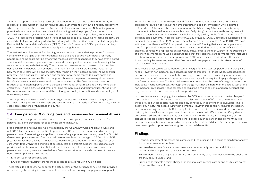With the exception of the first 8 weeks, local authorities are required to charge for a stay in residential accommodation. The act requires local authorities to carry out a financial assessment where a person is unable to pay the standard rate for the accommodation. National regulations prescribe how a person's income and capital (including heritable property) are treated in the financial assessment (National Assistance Assessment of Resources (Scotland) Regulations, 1992). The regulations prescribe which types of income or capital, including heritable property, are counted in full, partially disregarded or fully disregarded. The Scottish Government's Charging for Residential Accommodation Guidance (CRAG) (Scottish Government, 2018c) provides statutory guidance to local authorities on how to apply these regulations.

The national legal framework for charging for care home accommodation provides for greater consistency of charging than non-residential care charging policies. Nevertheless, for many people care home costs may be among the most substantial expenditure they have ever incurred. The financial assessment process is complex and causes great anxiety for people moving into a care home, along with their family. The process can take a number of weeks to be completed during which time people with dementia, and their families and carers, have no indication of how much care costs will be, and the potential impact on their income, savings, home or other property. This is particularly true when one member of a couple moves to a care home and the financial assessment results in a charge which means the person remaining at home may be left with a substantially lower level of income or savings. The financial assessment for residential care often happens when a person is moving to, or has moved, to a care home as an emergency. This is a difficult and emotional time for individuals and their families. All too often the financial assessment process, and the lack of good quality information adds another layer of unnecessary stress.

The complexity and variability of current charging arrangements create distress, inequity and financial hardship for some individuals and families at what is already a difficult time and, in some cases, can reach tens of thousands of pounds.

#### **5.4 Free personal & nursing care and provisions for terminal illness**

There are two main provisions which aim to mitigate the impact of social care charges; free personal care and provisions for people who are terminally ill.

Free personal and nursing care was introduced by the Community Care and Health (Scotland) Act 2002. Free personal care applies to people aged 65 or over who are assessed as needing personal care. Free nursing care applies to those of any age who need nursing care. The Scottish Government plans to extend free personal care to people under the age of 65 from April 2019 (Scottish Government, 2018d). The 2002 act requires local authorities not to charge for social care which falls within the definition of personal care or personal support. Free personal care provisions differ from non-residential and care home charges. For people in care homes, free personal and nursing care are provided as a financial contribution towards the cost of the care home. From April 2018 the rates are:

- £174 per week for personal care
- £79 per week for nursing care for those assessed as also requiring nursing care

These rates do not equate to, or cover, the actual costs of the personal or nursing care provided, or, needed by those living in a care home. Free personal and nursing care payments for people

in care homes provide a non-means tested financial contribution towards care home costs but personal care is not free, as the name suggests. In addition, any person who is entitled to Attendance Allowance (the care component of Disability Living Allowance or daily living component of Personal Independence Payment Daily Living) cannot receive those payments if they are resident in a care home which is wholly or partly paid by public funds. This includes free personal care payments. Those payments of £82.30 or £55.10 (2016/17 rates) are suspended. Free personal care payments of £174 per week actually have a net value of £91.70 or £118.90. We have estimated that there are 5,989 people with dementia self-funding their care home place who have free personal care payments. Assuming they are entitled to the higher rate of £82.30 of disability benefits, this represents an additional annual cost to them of £25.6m in the suspension of benefit payments. It should be acknowledged that free personal care payments were increased to take account of those benefit suspensions in 2002 when they were introduced. However, it is not widely known or explained that free personal care payment amounts take account of suspension of these benefits.

In non-residential care local authorities cannot charge for any assessed personal or nursing care needs. However, non-personal care services remain chargeable. For those whose assessed needs are solely personal care there should be no charge. Those assessed as needing non-personal care services or a mix of personal and non-personal care may still be required to pay a charge subject to a financial assessment. The financial assessment determines the level of charge based on the individual's financial resources. Although the charge must not be more than the actual cost of the non-personal care service, those assessed as requiring a mix of personal and non-personal care may see no benefit from free personal care provisions.

Non-residential care charging guidance issued by COSLA includes provisions to waive charges for those with a terminal illness and who are in the last six months of life. These provisions mirror those provided under special rules for disability benefits such as attendance allowance. This is potentially helpful for people living with dementia. However, this generally requires the person, or someone acting on their behalf, to apply for the waiver but the provision and the process for claiming is not well known or promoted. In addition, there is real difficulty in identifying that a person with advanced dementia may be in the last six months of life; as the trajectory of the disease is less predictable than for some other diseases, such as cancer. The six-month rule is perhaps an anomaly that is not possible to apply fairly in advanced dementia for people who may have prolonged complex needs arising from advanced dementia.

### **Findings**

- Financial assessment processes are complex and the process is the cause of significant anxiety for those who experience them
- Non-residential care financial assessments are unnecessarily complex and difficult to understand or compare the charges to other areas
- Non-residential care charging policies are not consistently or readily available to the public, nor are they easy to understand
- Provisions to mitigate against charges for personal care, nursing care or end of life care do not fully cover the costs of care.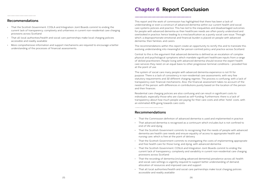#### **Recommendations**

- That the Scottish Government, COSLA and Integration Joint Boards commit to ending the current lack of transparency, complexity and unfairness in current non-residential care charging provisions across Scotland
- That all local authorities/health and social care partnerships make local charging policies accessible and readily available
- More comprehensive information and support mechanisms are required to encourage a better understanding of the processes of financial assessments.

This report and the work of commission has highlighted that there has been a lack of understanding or even a construct of advanced dementia within our current health and social care systems policies and practice. This has led to the inequalities and disadvantaged outcomes for people with advanced dementia as their healthcare needs are often poorly understood and overlooked in practice; hence leading to a misclassification as a purely social care issue. Through which, a disproportionate emotional and financial burden is placed on people with advanced dementia, their families, and carers.

The recommendations within this report create an opportunity to rectify this and to translate this evolving understanding into meaningful fair person-centred policy and practice across Scotland.

Central to this is the argument that advanced dementia is defined as an escalation of complex physical and psychological symptoms which mandate significant healthcare inputs from a range of skilled practitioners. People living with advanced dementia should receive the expert health care services they need, on an equal basis to other progressive terminal conditions – provided free at the point of use.

The system of social care many people with advanced dementia experience is not fit for purpose. There is a lack of consistency in non-residential care assessments, with very few statutory requirements and 32 different charging regimes. The process is confusing, with a lack of transparency over financial mechanisms. Also, the financial assessment takes no account of the needs of the person, with differences in contributions purely based on the location of the person and their finances.

Residential care charging policies are also confusing and can result in significant costs to individuals, especially those who are classed as self-funding. Furthermore, there is a lack of transparency about how much people are paying for their care costs and other 'hotel' costs, with an estimated 40% going towards care costs.

#### **Recommendations**

• That the Scottish Government commits to recognising that the needs of people with advanced

- That the Commission definition of advanced dementia is used and implemented in practice
- That advanced dementia is recognised as a continuum which includes but is not confined to end of life and dying
- dementia are health care needs and ensure equality of access to appropriate health and nursing care, which is free at the point of delivery
- That the Scottish Government commits to investigating the costs of implementing appropriate and free health care for those living, and dying, with advanced dementia
- That the Scottish Government, COSLA and Integration Joint Boards commit to ending the provisions across Scotland
- That the recording of dementia (including advanced dementia) prevalence across all health and social care settings is urgently required to support better understanding of demand, allocation of resources and improved care and support
- That all local authorities/health and social care partnerships make local charging policies accessible and readily available

current lack of transparency, complexity and variability in current non-residential care charging

### **Chapter 6 Report Conclusion**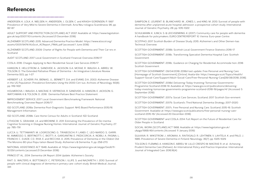SAMPSON, E., LEURENT, B., BLANCHARD, M., JONES, L. and KING, M., 2013. Survival of people with dementia after unplanned acute hospital admission: a prospective cohort study. International Journal of Geriatric Psychiatry, 28, pp. 1015-1022.

SCHULMANN, K., ILINCA, S. & LEICHSENRING, K. (2017). Community care for people with dementia: A handbook for policymakers, EURO.CENTRE.REPORT 10. Vienna: Euro-pean Centre.

SCOTPHO, 2017. Scottish Burden of Disease Study, 2015: Alzheimer's and Other Demen-tias Technical Overview.

SCOTTISH GOVERNMENT, 2018b. Scottish Local Government Finance Statistics 2016-17.

SCOTTISH GOVERNMENT, 2018c. Transforming Specialist Dementia Hospital Care. Scottish Government.

SCOTTISH GOVERNMENT, 2018c. Guidance on Charging for Residential Accommoda-tion, 2018. Scottish Government.

SCOTTISH GOVERNMENT, 09/04/2018, 2018d-last update, Free Personal and Nursing Care [Homepage of Scottish Government], [Online]. Availa-ble: https://www.gov.scot/Topics/Health/ Support-Social-Care/Support/Adult-Social-Care/Free-Personal-Nursing-Care[28/08/2018, 2018].

SCOTTISH GOVERNMENT, 2018d. Delivering-Today-Investing-Tomorrow-Governments-Programme-Scotland-2018-19. Available at: https://www.gov.scot/publications/deliveringtoday-investing-tomorrow-governments-programme-scotland-2018-19/pages/4/ (Accessed: 5 September 2018)

SCOTTISH GOVERNMENT, 2017a. Social Care Services, Scotland, 2017. Scottish Gov-ernment.

SCOTTISH GOVERNMENT, 2017b. Scotland's Third National Dementia Strategy, 2017-2020.

SCOTTISH GOVERNMENT, 2017c. Free Personal and Nursing Care, Scotland, 2015-16. Scottish Government. Available at: https://www.gov.scot/publications/free-personal-nursing-carescotland-2015-16/ (Accessed 20 December 2018)

SCOTTISH GOVERNMENT and COSLA, 2014. Full Report on the Future of Residential Care for Older People in Scotland.

SOCIAL WORK (SCOTLAND) ACT 1968, Available at: https://www.legislation.gov.uk/ ukpga/1968/49/contents (Accessed: 11 January 2019)

SULKAVA, R., WIKSTROM, J., AROMAA, A., RAITASALO, R., LEHTINEN, V., LAHTELA, K. and PALO, J., 1985. Prevalence of Severe Dementia in Finland. Neurology, 35(7), pp. 1025-1029.

TOLSON D, FLEMING A, HANSON E, ABREU W, LILLO CRESPO M, MACRAE R, et al.. Achieving Prudent Dementia Care (Palliare): An International Policy and Practice Imperative. International Journal of Integrated Care. 2016;16(4)

### **References**

ANDERSEN, K., LOLK, A., NIELSEN, H., ANDERSEN, J., OLSEN, C. and KRAGH-SORENSEN, P., 1997. Prevalence of Very Mild to Severe Dementia in Denmark. Acta Neu-rologica Scandinavia, 96, pp. 82-87.

ADULT SUPPORT AND PROTECTION (SCOTLAND) ACT 2007. Available at: https://www.legislation. gov.uk/asp/2007/10/contents (Accessed 21 December 2018)

ALZHEIMER SCOTLAND, 2015. Advanced Dementia Practice Model. https://www.alzscot.org/ assets/0001/9474/AlzScot\_ACReport\_FINAL.pdf (accessed 1 June 2018)

ALZHEIMER SCOTLAND, 2009. Charter of Rights for People with Dementia and Their Car-ers in Scotland

AUDIT SCOTLAND, 2017. Local Government in Scotland: Financial Overview 2016/17

COSLA, 2016. Charges Applying to Non-Residential Social Care Services 2016/17.

HANSON, E., HELLSTROM, A., SANDVIDE, A., JACKSON, G.A., MCRAE, R., WAUGH, A., ABREU, W., TOLSON, D. The Extended Palliative Phase of Dementia – An Integrative Literature Review. Dementia 0(0), pp. 1-27

HERBERT, L.E., SCHERR, P.A., BIENIAS, J.L., BENNETT, D.A. and EVANS, D.A., 2003. Alzheimer Disease in the US Population: Prevalence Estimates Using the 2000 Cen-sus. Archives of Neurology, 60(8), pp. 1119-1122.

HOLMEROVA, I, WAUGH, A, MACRAE, R, VEPRKOVA, R, SANDVIDE, A, HANSON, E, JACKSON, G, WATCHMAN, K & TOLSON, D., 2016. Dementia Palliare Best Practice Statement.

IMPROVEMENT SERVICE, 2017. Local Government Benchmarking Framework: National Benchmarking Overview Report 2016/17. .

ISD SCOTLAND, 2018a. Dementia Post-Diagnostic Support: NHS Board Performance 2015/16. Management Information.

ISD SCOTLAND, 2018b. Care Home Census for Adults in Scotland. ISD Scotland.

LITHGOW, S., GRAHAM, J.A. and BROWNE, D., 2011. Estimating the Prevalence of De-mentia: Cognitive Screening in Glasgow Nursing Homes. International Journal of Geriatric Psychiatry, 27, pp. 785-791.

LUCCA, U., TETTAMANTI, M., LOGROSCINO, G., TIRABOSCHI, P., LANDI, C., LEO-NARDO, S., GARRI, M., AMMESSO, S., BERTINOTTI, C., BIOTTI, A., GARGANTINI, E., PIEDICORCIA, A., NOBILI, A., PASINA, L., FRANCHI, C., DJADE, C.D., RIVA, E. and RECCHIA, A., 2015. Prevalence of Dementia in the Oldest Old: The Monzino 80-plus Popu-lation Based Study. Alzheimer's & Dementia, 11, pp. 258-270.

NATIONAL ASSISTANCE ACT 1948, Available at: https://www.legislation.gov.uk/ukpga/Geo6/11- 12/29/contents (accessed 21 December 2018)

PRINCE ET AL., 2014. Dementia UK Report: 2014 Update. Alzheimer's Society.

RAIT, G., WALTERS, K., BOTTOMLEY, C., PETERSON, I., ILLIFE, S. and NAZARETH, I., 2010. Survival of people with clinical diagnosis of dementia in primary care: cohort study. British Medical Journal, 341.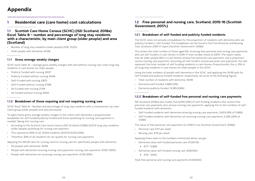#### **1.2 Free personal and nursing care, Scotland, 2015-16 (Scottish Government, 2017c)**

#### **1.2.1 Breakdown of self-funded and publicly funded residents**

The SCHC does not provide a breakdown for the proportion of residents with dementia who are publicly funded or self-funded. This breakdown can be found in the Free Personal and Nursing Care, Scotland, 2016-17 report (Scottish Government, 2018d).

This shows the total number of those aged 65+ receiving free personal and nursing care payments who are self-funders in care homes. In 2016-17 that number stood at 9,870. The report states that all older people (65+) in care homes receive free personal care payments, and a proportion receive nursing care payments. Assuming all self-funders receive personal care payments, this will represent the total number of self-funding residents in care homes. Proportionally, this is 31% of all long stay residents in care homes for older people in the SCHC.

Using the total numbers of people with dementia in the SCHC, and applying the 31/69 split for self-funded and publicly-funded residents, respectively, we arrive at the following figures:

- Total number of residents with dementia: 19,318
- Dementia self-funded: 5,989 (31%)
- Dementia publicly-funded: 13,329 (69%).

#### **1.2.2 Breakdown of self-funded free personal and nursing care payments**

ISD Scotland, (2016a) also states that 6,050 (61%) of self-funding residents who receive free personal care payments also receive nursing care payments, applying this to the numbers of selffunded residents with dementia:

- Self-funded residents with dementia receiving nursing care payments: 3,653 (61% of 5,989)
- Self-funded residents with dementia not receiving nursing care payments: 2,336 (39% of 5,989).

The value of free personal care payments for 2016/17 are (Scottish Government, 2018d):

- Personal care: £171 per week
- Nursing care: £78 per week.

Applying these rates to the numbers mentioned above, we get: • Dementia value self-funded personal care: £1,024,119

- - £171 \* 5,989
- Dementia value self-funded nursing care: £284,934
	- £78 \* 3,653.

Total free personal and nursing care payments: £1,309,053.

#### **1 Residential care (care home) cost calculations**

**1.1 Scottish Care Home Census (SCHC) (ISD Scotland, 2018a) Excel Table 8 – number and percentage of long stay residents with a characteristic, by main client group (older people) and area (Scotland)**

- Number of long stay residents (older people) 2016: 31,223
- Total people with dementia: 19,318.

#### **1.1.1 Gross average weekly charges**

SCHC excel table 15 – Average gross weekly charges with and without nursing care, total long stay residents in care homes for older people

- Publicly Funded with nursing: £637
- Publicly Funded without nursing: £548
- Self-Funded with nursing: £870
- Self-Funded without nursing: £798
- All Funded with nursing: £749
- All funded without nursing: £659.

#### **1.1.2 Breakdown of those requiring and not requiring nursing care**

SCHC Excel Table 8 – Number and percentage of long stay residents with a characteristic, by main client group (older people) and area (Scotland):

To apply these gross average weekly charges to the cohort with dementia, a proportionate breakdown for self-funded/publicly funded and those qualifying for nursing care payments is needed. Taking first nursing care:

- According to the Scottish Care Home Census (ISD Scotland, 2018b) 20,272 long stay residents (older people) qualifying for nursing care payment.
- This represents 65% of all 31,223 residents (20,272/31,223 63%)
- Therefore, 35% of all residents do not qualify for nursing care payments.

Applying this 65/35 ratio for nursing care/no nursing care for specifically people with dementia:

- All people with dementia: 19,318
- People with dementia receiving nursing care payments nursing care payments: 12,557 (65%)
- People with dementia not receiving nursing care payments: 6,716 (35%).

### **Appendix**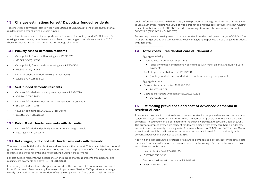publicly-funded residents with dementia (13,329) provides an average weekly cost of £4,998,375 to local authorities. Adding the value of free personal and nursing care payments to self-funding residents with dementia £1,309,053) provides an average total weekly cost to local authorities of £6,307,428 (£1,309,053 + £4,988,375).

- Aggregate Weekly:
- Costs to Local Authorities: £6,307,428
	- payments)
- Costs to people with dementia: £6,737,318
	- (publicly funded + self-funded with or without nursing care payments)
- Aggregate Annual:
- Costs to Local Authorities: £327,986,256
	- £6,307,428 \* 52
- Costs to individuals with dementia: £350,340,536
	- $\overline{F}$   $\overline{F}$   $\overline{F}$   $\overline{F}$   $\overline{F}$   $\overline{F}$   $\overline{F}$   $\overline{F}$   $\overline{F}$   $\overline{F}$   $\overline{F}$   $\overline{F}$   $\overline{F}$   $\overline{F}$   $\overline{F}$   $\overline{F}$   $\overline{F}$   $\overline{F}$   $\overline{F}$   $\overline{F}$   $\overline{F}$   $\overline{F}$   $\overline{F}$   $\overline{F}$   $\overline{$

Subtracting the total weekly cost to local authorities from the total gross charges of £13,044,746 (– £6,307,428) provides and average total weekly of £6,737,318 (per week) net charges to residents with dementia.

#### **1.4 Total costs – residential care all dementia**

(publicly funded contributions + self-funded with Free Personal and Nursing Care

- Local Authority Cost: £114,759,190
	- £327,986,256 \* 0.35
- Cost to individuals with dementia: £122,619,188
	- £350,340,536 \* 0.35.

#### **1.5 Estimating prevalence and cost of advanced dementia in residential care**

To estimate the costs for individuals and local authorities for people with advanced dementia in residential care, it is important first to estimate the number of people who may have advanced dementia. An estimate can be obtained from the study by Browne, Lithgow, and Jackson (2011). The authors sampled every sixth resident randomly selected from every care home in Glasgow and estimated the severity of a diagnosis of dementia based on SMMSE and FAST scores. Overall, it was found that 31% of all residents had severe dementia. Adjusted for those already with dementia however, the prevalence sits at 35%.

- Value self-funded with nursing care payments: £3,386,779
	- (5,989 \* 0.65) \* £870
	- Value self-funded without nursing care payments: £1,582,593
	- (5,989 \* 0.35) \* £755
	- Value all self-funded: £4,969,372 (per week)
	- $\triangle$  £3,386,779 + £1,582,593.

Applying an estimated 35% prevalence of advanced dementia as a percentage of the total costs for all care home residents with dementia provides the following estimated total costs to local authorities and individuals;

#### **1.3 Charges estimations for self & publicly funded residents**

Together, these payments total in weekly deductions of £1,309,053 to the gross charges for all residents with dementia who are self-funded.

These have been applied to the proportional breakdowns for publicly funded/self-funded & nursing care/no nursing care dementia numbers to the charges listed above in section 1.1.2 for those respective groups. Doing that, we get average charges of:

#### **1.3.1 Publicly funded dementia residents**

- Value publicly funded with nursing care: £5,518,872
	- (13,329 \* 0.65) \* £637
- Value publicly funded without nursing care: £2,556,502
- (13,329 \* 0.35) \* £548
- Value all publicly funded: £8,075,374 (per week)
- £5,518,872 + £2,556,502.

#### **1.3.2 Self-funded dementia residents**

#### **1.3.3 Public & self-funded residents with dementia**

- Value self-funded and publicly funded: £13,044,746 (per week)
- £8,075,374 + £4,969,372.

#### **1.3.4 Net charges, public and self-funded residents with dementia**

The true cost for both local authorities and residents is the net cost. This is calculated as the total gross charges minus the relevant deductions; based on the proportions of self and publicly funded residents, and those receiving and not receiving nursing care payments.

For self-funded residents, the deductions on their gross charges represents free personal and nursing care payments as above (1.2.1) at £1,309,053.

For publicly-funded residents, charges vary based on the outcome of a financial assessment. The Local Government Benchmarking Framework (Improvement Service, 2017) provides an average weekly local authority cost per resident of £375. Multiplying this figure by the total number of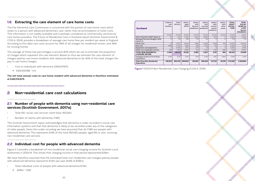| <b>Scotland</b>                                          | Children<br>and<br><b>Families</b> | Older<br>Persons | Adults<br>aged<br>$18 - 64$ | Adults<br>with<br>physical<br>disabilities | Adults<br>with<br>learning<br>disabilities | Adults<br>with<br>mental<br>health<br>problems | Adults<br>with<br>other<br>needs | <b>TOTAL</b><br><b>ADULT</b><br><b>SOCIAL</b><br><b>CARE</b> | <b>TOTAL</b><br><b>SOCIAL</b><br><b>WORK</b> (ex<br>CJSW,<br><b>Service</b><br>STRATEGY) |
|----------------------------------------------------------|------------------------------------|------------------|-----------------------------|--------------------------------------------|--------------------------------------------|------------------------------------------------|----------------------------------|--------------------------------------------------------------|------------------------------------------------------------------------------------------|
|                                                          | £'000                              | £'000            | £'000                       | £'000                                      | £'000                                      | £'000                                          | £'000                            | £'000                                                        | £'000                                                                                    |
| Direct Payments (SDS Option 1)                           | 27                                 | 670              | 5.783                       | 1.600                                      | 3,660                                      | 523                                            | $\Omega$                         | 6,453                                                        | 6.480                                                                                    |
| <b>Managed Personal Budgets (SDS</b><br>Option 2)        | $\circ$                            | 34               | 739                         | 713                                        | 25                                         | 2                                              | $\Omega$                         | 774                                                          | 774                                                                                      |
| Home Care                                                | 19                                 | 17.557           | 8,364                       | 1,895                                      | 5,056                                      | 1,229                                          | 184                              | 25.921                                                       | 25.940                                                                                   |
| Day Care                                                 | 1,695                              | 2,752            | 1,693                       | 166                                        | 1,470                                      | 55                                             | 2                                | 4,445                                                        | 6.140                                                                                    |
| Equipment and adaptations                                | 2                                  | 3.090            | 300                         | 275                                        | 16                                         | 9                                              | $\Omega$                         | 3.390                                                        | 3.392                                                                                    |
| Other non-residential services                           | 749                                | 4.169            | 3,282                       | 931                                        | 1,720                                      | 333                                            | 298                              | 7.451                                                        | 8,200                                                                                    |
| <b>TOTAL NON-RESIDENTIAL</b><br><b>CHARGING INCOME</b>   | 2,492                              | 28,272           | 20,162                      | 5,580                                      | 11,947                                     | 2,151                                          | 484                              | 48,434                                                       | 50,926                                                                                   |
| Charging income as % of Gross<br>Expenditure             | 0.4%                               | 3.3%             | 2.3%                        | 3.1%                                       | 2.4%                                       | 1.8%                                           | 0.8%                             | 2.8%                                                         | 2.2%                                                                                     |
| <b>Total Gross Non-Residential</b><br><b>Expenditure</b> | 616,554                            | 853,476          | 859,833                     | 182,563                                    | 495,409                                    | 121,733                                        | 60,128                           | 1,713,308                                                    | 2,329,862                                                                                |

- Cost to individuals with dementia: £49,047,675
	- $\leftarrow$  £122619188  $*$  04

**Figure 1** 2013/14 Non-Residential Care Charging (COSLA, 2016)

#### **1.6 Extracting the care element of care home costs**

The Fair Dementia Care Commission is concerned with the portion of care home costs which relate to a person with advanced dementia's care, rather than accommodation or hotel costs. This information is not readily available and is perhaps considered as commercially sensitive by care homes providers. The Future of Residential Care in Scotland report (Scottish Government & COSLA, 2014), provides a breakdown of average care home fees per resident per week in England. According to this data care costs account for 35% of all charges for residential homes, and 46% for nursing homes.

We have therefore assumed that the estimated total non-residential care charges paid by people with advanced dementia represents £1.9m per year (6.9% of £28m).

The average of these two percentages is around 40% which we use to estimate the proportion of charges which represent the care element. Based on thus we estimate the care element of charges paid by care home residents with advanced dementia to be 40% of the total charges the pay in care home charges.

**The net total annual costs to care home resident with advanced dementia is therefore estimated at £49,074,675**

#### **2 Non-residential care cost calculations**

#### **2.1 Number of people with dementia using non-residential care services (Scottish Government, 2017a)**

- Total 65+ social care services client base: 160,020
- Number of clients with dementia: 11,180.

This Scottish Government report acknowledges that dementia is under recorded in social care information systems and that that dementia is likely to be recorded under any of the categories of older people. Given this under recording we have assumed that all 11,180 are people with advanced dementia. This represents 6.9% of the total 160,020 people, aged 65 or over, receiving non-residential care services.

#### **2.2 Individual cost for people with advanced dementia**

Figure 2 1 provides a breakdown of non-residential social care charging income for Scottish Local Authorities in 2013/14. This shows that charging income in that period represented £28m.

- Total individual costs of people with advanced dementia £1.9m
	- £28m \* 0.69.